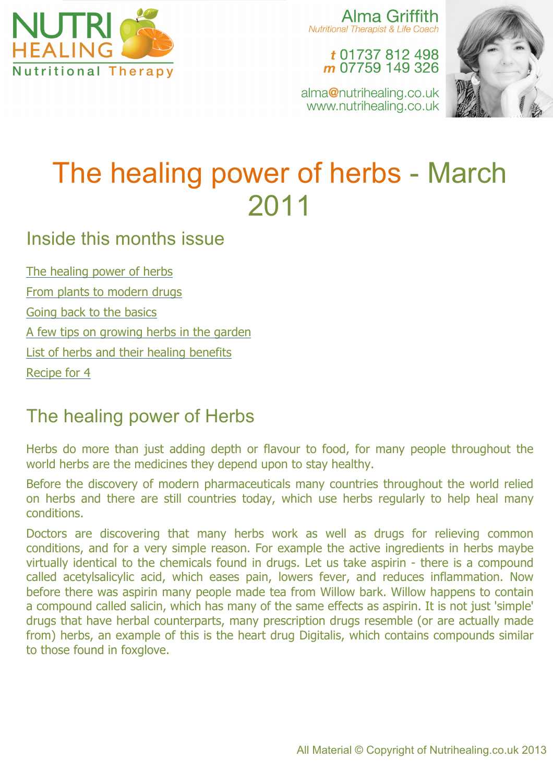

Alma Griffith **Nutritional Therapist & Life Coach** 

t 01737 812 498 m 07759 149 326

alma@nutrihealing.co.uk www.nutrihealing.co.uk



# The healing power of herbs - March 2011

### Inside this months issue

The healing power of herbs From plants to modern drugs Going back to the basics A few tips on growing herbs in the garden List of herbs and their healing benefits Recipe for 4

## The healing power of Herbs

Herbs do more than just adding depth or flavour to food, for many people throughout the world herbs are the medicines they depend upon to stay healthy.

Before the discovery of modern pharmaceuticals many countries throughout the world relied on herbs and there are still countries today, which use herbs regularly to help heal many conditions.

Doctors are discovering that many herbs work as well as drugs for relieving common conditions, and for a very simple reason. For example the active ingredients in herbs maybe virtually identical to the chemicals found in drugs. Let us take aspirin - there is a compound called acetylsalicylic acid, which eases pain, lowers fever, and reduces inflammation. Now before there was aspirin many people made tea from Willow bark. Willow happens to contain a compound called salicin, which has many of the same effects as aspirin. It is not just 'simple' drugs that have herbal counterparts, many prescription drugs resemble (or are actually made from) herbs, an example of this is the heart drug Digitalis, which contains compounds similar to those found in foxglove.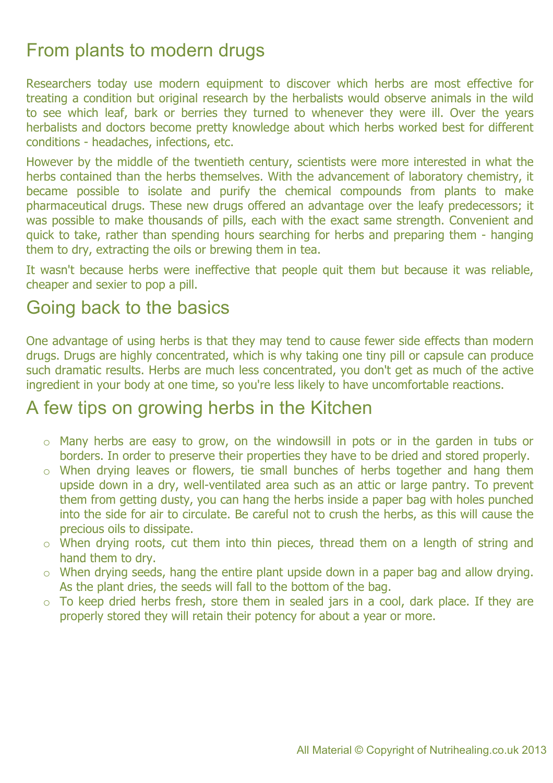## From plants to modern drugs

Researchers today use modern equipment to discover which herbs are most effective for treating a condition but original research by the herbalists would observe animals in the wild to see which leaf, bark or berries they turned to whenever they were ill. Over the years herbalists and doctors become pretty knowledge about which herbs worked best for different conditions - headaches, infections, etc.

However by the middle of the twentieth century, scientists were more interested in what the herbs contained than the herbs themselves. With the advancement of laboratory chemistry, it became possible to isolate and purify the chemical compounds from plants to make pharmaceutical drugs. These new drugs offered an advantage over the leafy predecessors; it was possible to make thousands of pills, each with the exact same strength. Convenient and quick to take, rather than spending hours searching for herbs and preparing them - hanging them to dry, extracting the oils or brewing them in tea.

It wasn't because herbs were ineffective that people quit them but because it was reliable, cheaper and sexier to pop a pill.

### Going back to the basics

One advantage of using herbs is that they may tend to cause fewer side effects than modern drugs. Drugs are highly concentrated, which is why taking one tiny pill or capsule can produce such dramatic results. Herbs are much less concentrated, you don't get as much of the active ingredient in your body at one time, so you're less likely to have uncomfortable reactions.

#### A few tips on growing herbs in the Kitchen

- o Many herbs are easy to grow, on the windowsill in pots or in the garden in tubs or borders. In order to preserve their properties they have to be dried and stored properly.
- o When drying leaves or flowers, tie small bunches of herbs together and hang them upside down in a dry, well-ventilated area such as an attic or large pantry. To prevent them from getting dusty, you can hang the herbs inside a paper bag with holes punched into the side for air to circulate. Be careful not to crush the herbs, as this will cause the precious oils to dissipate.
- o When drying roots, cut them into thin pieces, thread them on a length of string and hand them to dry.
- o When drying seeds, hang the entire plant upside down in a paper bag and allow drying. As the plant dries, the seeds will fall to the bottom of the bag.
- o To keep dried herbs fresh, store them in sealed jars in a cool, dark place. If they are properly stored they will retain their potency for about a year or more.